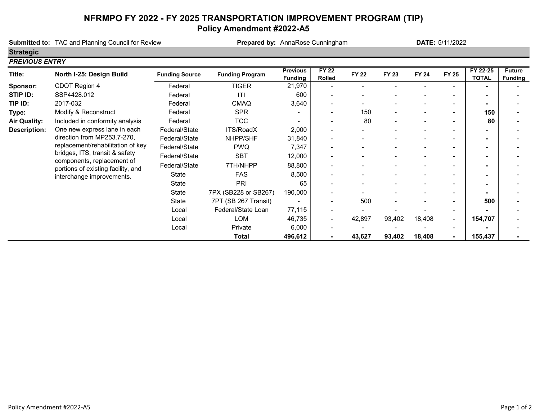## NFRMPO FY 2022 - FY 2025 TRANSPORTATION IMPROVEMENT PROGRAM (TIP) Policy Amendment #2022-A5

|                       | <b>Submitted to: TAC and Planning Council for Review</b>                                      |                       | Prepared by: AnnaRose Cunningham |                                   |                                                                                                                                                                                                                                                                                                            |              | DATE: 5/11/2022 |              |                |                          |                                 |
|-----------------------|-----------------------------------------------------------------------------------------------|-----------------------|----------------------------------|-----------------------------------|------------------------------------------------------------------------------------------------------------------------------------------------------------------------------------------------------------------------------------------------------------------------------------------------------------|--------------|-----------------|--------------|----------------|--------------------------|---------------------------------|
| <b>Strategic</b>      |                                                                                               |                       |                                  |                                   |                                                                                                                                                                                                                                                                                                            |              |                 |              |                |                          |                                 |
| <b>PREVIOUS ENTRY</b> |                                                                                               |                       |                                  |                                   |                                                                                                                                                                                                                                                                                                            |              |                 |              |                |                          |                                 |
| Title:                | North I-25: Design Build                                                                      | <b>Funding Source</b> | <b>Funding Program</b>           | <b>Previous</b><br><b>Funding</b> | <b>FY 22</b><br><b>Rolled</b>                                                                                                                                                                                                                                                                              | <b>FY 22</b> | <b>FY 23</b>    | <b>FY 24</b> | <b>FY 25</b>   | FY 22-25<br><b>TOTAL</b> | <b>Future</b><br><b>Funding</b> |
| Sponsor:              | CDOT Region 4                                                                                 | Federal               | <b>TIGER</b>                     | 21,970                            |                                                                                                                                                                                                                                                                                                            |              |                 |              |                |                          |                                 |
| STIP ID:              | SSP4428.012                                                                                   | Federal               | ITI                              | 600                               |                                                                                                                                                                                                                                                                                                            |              |                 |              |                |                          |                                 |
| TIP ID:               | 2017-032                                                                                      | Federal               | <b>CMAQ</b>                      | 3,640                             |                                                                                                                                                                                                                                                                                                            |              |                 |              |                |                          |                                 |
| Type:                 | Modify & Reconstruct                                                                          | Federal               | <b>SPR</b>                       |                                   | $\blacksquare$                                                                                                                                                                                                                                                                                             | 150          |                 |              | $\blacksquare$ | 150                      |                                 |
| <b>Air Quality:</b>   | Included in conformity analysis                                                               | Federal               | <b>TCC</b>                       |                                   | $\blacksquare$                                                                                                                                                                                                                                                                                             | 80           |                 |              | ۰              | 80                       |                                 |
| <b>Description:</b>   | One new express lane in each                                                                  | Federal/State         | ITS/RoadX                        | 2,000                             | $\blacksquare$<br>$\blacksquare$<br>65<br>-<br>$\blacksquare$<br>500<br>$\overline{\phantom{a}}$<br>$\qquad \qquad \blacksquare$<br>$\overline{\phantom{a}}$<br>42,897<br>93,402<br>18,408<br>$\overline{\phantom{a}}$<br>$\blacksquare$<br>43,627<br>93,402<br>18,408<br>$\blacksquare$<br>$\blacksquare$ |              |                 |              |                |                          |                                 |
|                       | direction from MP253.7-270,<br>replacement/rehabilitation of key                              | Federal/State         | NHPP/SHF                         | 31,840                            |                                                                                                                                                                                                                                                                                                            |              |                 |              |                | $\blacksquare$           |                                 |
|                       |                                                                                               | Federal/State         | <b>PWQ</b>                       | 7,347                             |                                                                                                                                                                                                                                                                                                            |              |                 |              |                |                          |                                 |
|                       | bridges, ITS, transit & safety                                                                | Federal/State         | <b>SBT</b>                       | 12,000                            |                                                                                                                                                                                                                                                                                                            |              |                 |              |                | $\blacksquare$           |                                 |
|                       | components, replacement of<br>portions of existing facility, and<br>interchange improvements. | Federal/State         | 7TH/NHPP                         | 88,800                            |                                                                                                                                                                                                                                                                                                            |              |                 |              |                | $\blacksquare$           |                                 |
|                       |                                                                                               | State                 | <b>FAS</b>                       | 8,500                             |                                                                                                                                                                                                                                                                                                            |              |                 |              |                |                          |                                 |
|                       |                                                                                               | State                 | PRI                              |                                   |                                                                                                                                                                                                                                                                                                            |              |                 |              |                |                          |                                 |
|                       |                                                                                               | State                 | 7PX (SB228 or SB267)             | 190,000                           |                                                                                                                                                                                                                                                                                                            |              |                 |              |                |                          |                                 |
|                       |                                                                                               | State                 | 7PT (SB 267 Transit)             |                                   |                                                                                                                                                                                                                                                                                                            |              |                 |              |                | 500                      |                                 |
|                       |                                                                                               | Local                 | Federal/State Loan               | 77,115                            |                                                                                                                                                                                                                                                                                                            |              |                 |              |                |                          |                                 |
|                       |                                                                                               | Local                 | LOM                              | 46,735                            |                                                                                                                                                                                                                                                                                                            |              |                 |              |                | 154,707                  |                                 |
|                       |                                                                                               | Local                 | Private                          | 6,000                             |                                                                                                                                                                                                                                                                                                            |              |                 |              |                |                          |                                 |
|                       |                                                                                               |                       | <b>Total</b>                     | 496,612                           |                                                                                                                                                                                                                                                                                                            |              |                 |              |                | 155,437                  |                                 |